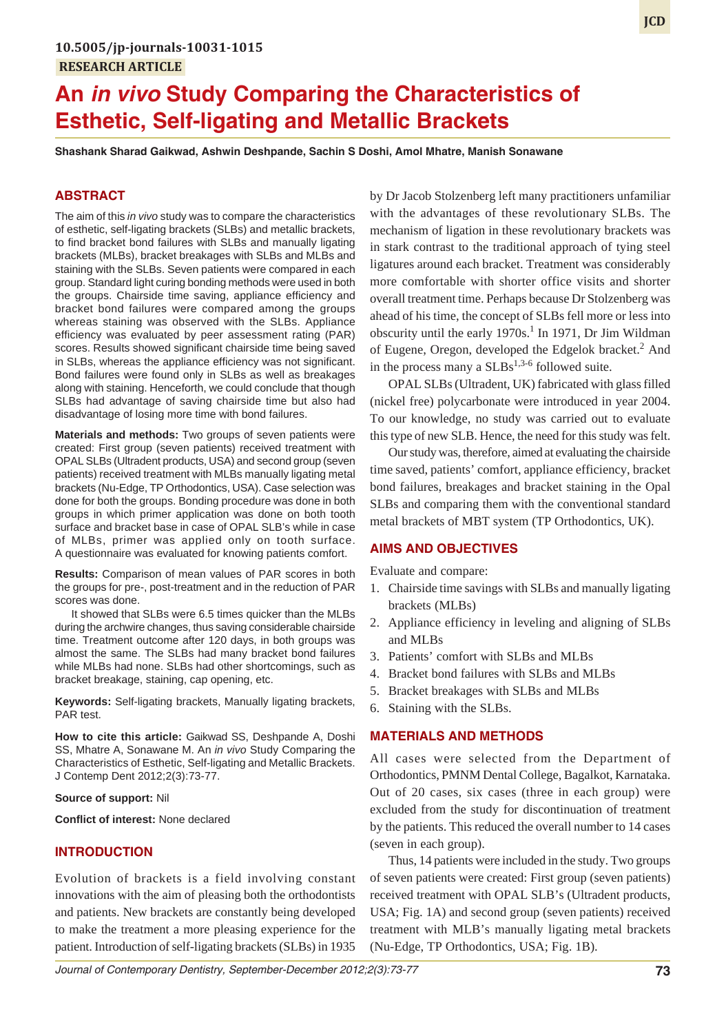# **An** *in vivo* **Study Comparing the Characteristics of Esthetic, Self-ligating and Metallic Brackets**

**Shashank Sharad Gaikwad, Ashwin Deshpande, Sachin S Doshi, Amol Mhatre, Manish Sonawane**

# **ABSTRACT**

The aim of this *in vivo* study was to compare the characteristics of esthetic, self-ligating brackets (SLBs) and metallic brackets, to find bracket bond failures with SLBs and manually ligating brackets (MLBs), bracket breakages with SLBs and MLBs and staining with the SLBs. Seven patients were compared in each group. Standard light curing bonding methods were used in both the groups. Chairside time saving, appliance efficiency and bracket bond failures were compared among the groups whereas staining was observed with the SLBs. Appliance efficiency was evaluated by peer assessment rating (PAR) scores. Results showed significant chairside time being saved in SLBs, whereas the appliance efficiency was not significant. Bond failures were found only in SLBs as well as breakages along with staining. Henceforth, we could conclude that though SLBs had advantage of saving chairside time but also had disadvantage of losing more time with bond failures.

**Materials and methods:** Two groups of seven patients were created: First group (seven patients) received treatment with OPAL SLBs (Ultradent products, USA) and second group (seven patients) received treatment with MLBs manually ligating metal brackets (Nu-Edge, TP Orthodontics, USA). Case selection was done for both the groups. Bonding procedure was done in both groups in which primer application was done on both tooth surface and bracket base in case of OPAL SLB's while in case of MLBs, primer was applied only on tooth surface. A questionnaire was evaluated for knowing patients comfort.

**Results:** Comparison of mean values of PAR scores in both the groups for pre-, post-treatment and in the reduction of PAR scores was done.

It showed that SLBs were 6.5 times quicker than the MLBs during the archwire changes, thus saving considerable chairside time. Treatment outcome after 120 days, in both groups was almost the same. The SLBs had many bracket bond failures while MLBs had none. SLBs had other shortcomings, such as bracket breakage, staining, cap opening, etc.

**Keywords:** Self-ligating brackets, Manually ligating brackets, PAR test.

**How to cite this article:** Gaikwad SS, Deshpande A, Doshi SS, Mhatre A, Sonawane M. An *in vivo* Study Comparing the Characteristics of Esthetic, Self-ligating and Metallic Brackets. J Contemp Dent 2012;2(3):73-77.

## **Source of support:** Nil

**Conflict of interest:** None declared

# **INTRODUCTION**

Evolution of brackets is a field involving constant innovations with the aim of pleasing both the orthodontists and patients. New brackets are constantly being developed to make the treatment a more pleasing experience for the patient. Introduction of self-ligating brackets (SLBs) in 1935

by Dr Jacob Stolzenberg left many practitioners unfamiliar with the advantages of these revolutionary SLBs. The mechanism of ligation in these revolutionary brackets was in stark contrast to the traditional approach of tying steel ligatures around each bracket. Treatment was considerably more comfortable with shorter office visits and shorter overall treatment time. Perhaps because Dr Stolzenberg was ahead of his time, the concept of SLBs fell more or less into obscurity until the early 1970s.<sup>1</sup> In 1971, Dr Jim Wildman of Eugene, Oregon, developed the Edgelok bracket.<sup>2</sup> And in the process many a  $SLBs^{1,3-6}$  followed suite.

OPAL SLBs (Ultradent, UK) fabricated with glass filled (nickel free) polycarbonate were introduced in year 2004. To our knowledge, no study was carried out to evaluate this type of new SLB. Hence, the need for this study was felt.

Our study was, therefore, aimed at evaluating the chairside time saved, patients' comfort, appliance efficiency, bracket bond failures, breakages and bracket staining in the Opal SLBs and comparing them with the conventional standard metal brackets of MBT system (TP Orthodontics, UK).

## **AIMS AND OBJECTIVES**

Evaluate and compare:

- 1. Chairside time savings with SLBs and manually ligating brackets (MLBs)
- 2. Appliance efficiency in leveling and aligning of SLBs and MLBs
- 3. Patients' comfort with SLBs and MLBs
- 4. Bracket bond failures with SLBs and MLBs
- 5. Bracket breakages with SLBs and MLBs
- 6. Staining with the SLBs.

#### **MATERIALS AND METHODS**

All cases were selected from the Department of Orthodontics, PMNM Dental College, Bagalkot, Karnataka. Out of 20 cases, six cases (three in each group) were excluded from the study for discontinuation of treatment by the patients. This reduced the overall number to 14 cases (seven in each group).

Thus, 14 patients were included in the study. Two groups of seven patients were created: First group (seven patients) received treatment with OPAL SLB's (Ultradent products, USA; Fig. 1A) and second group (seven patients) received treatment with MLB's manually ligating metal brackets (Nu-Edge, TP Orthodontics, USA; Fig. 1B).

*Journal of Contemporary Dentistry, September-December 2012;2(3):73-77* **73**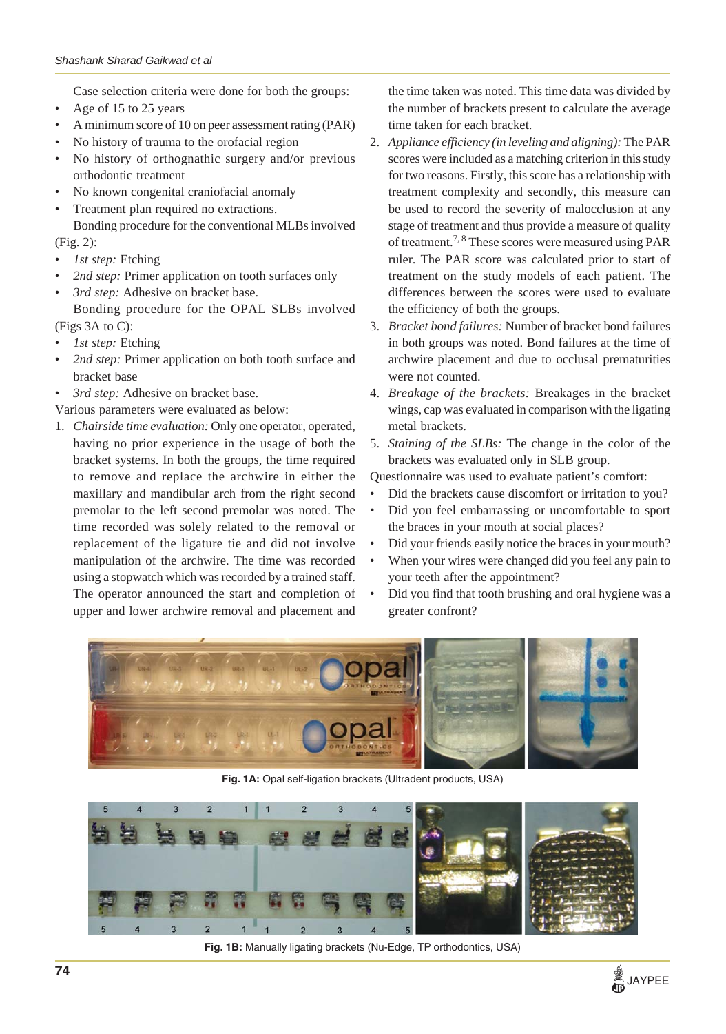Case selection criteria were done for both the groups:

- Age of 15 to 25 years
- A minimum score of 10 on peer assessment rating (PAR)
- No history of trauma to the orofacial region
- No history of orthognathic surgery and/or previous orthodontic treatment
- No known congenital craniofacial anomaly
- Treatment plan required no extractions.

Bonding procedure for the conventional MLBs involved (Fig. 2):

- *1st step:* Etching
- *2nd step:* Primer application on tooth surfaces only
- *3rd step:* Adhesive on bracket base.

Bonding procedure for the OPAL SLBs involved (Figs 3A to C):

- *1st step:* Etching
- *2nd step:* Primer application on both tooth surface and bracket base
- *3rd step:* Adhesive on bracket base.

Various parameters were evaluated as below:

1. *Chairside time evaluation:* Only one operator, operated, having no prior experience in the usage of both the bracket systems. In both the groups, the time required to remove and replace the archwire in either the maxillary and mandibular arch from the right second premolar to the left second premolar was noted. The time recorded was solely related to the removal or replacement of the ligature tie and did not involve manipulation of the archwire. The time was recorded using a stopwatch which was recorded by a trained staff. The operator announced the start and completion of upper and lower archwire removal and placement and

the time taken was noted. This time data was divided by the number of brackets present to calculate the average time taken for each bracket.

- 2. *Appliance efficiency (in leveling and aligning):* The PAR scores were included as a matching criterion in this study for two reasons. Firstly, this score has a relationship with treatment complexity and secondly, this measure can be used to record the severity of malocclusion at any stage of treatment and thus provide a measure of quality of treatment.7, 8 These scores were measured using PAR ruler. The PAR score was calculated prior to start of treatment on the study models of each patient. The differences between the scores were used to evaluate the efficiency of both the groups.
- 3. *Bracket bond failures:* Number of bracket bond failures in both groups was noted. Bond failures at the time of archwire placement and due to occlusal prematurities were not counted.
- 4. *Breakage of the brackets:* Breakages in the bracket wings, cap was evaluated in comparison with the ligating metal brackets.
- 5. *Staining of the SLBs:* The change in the color of the brackets was evaluated only in SLB group.

Questionnaire was used to evaluate patient's comfort:

- Did the brackets cause discomfort or irritation to you?
- Did you feel embarrassing or uncomfortable to sport the braces in your mouth at social places?
- Did your friends easily notice the braces in your mouth?
- When your wires were changed did you feel any pain to your teeth after the appointment?
- Did you find that tooth brushing and oral hygiene was a greater confront?



**Fig. 1A:** Opal self-ligation brackets (Ultradent products, USA)



**Fig. 1B:** Manually ligating brackets (Nu-Edge, TP orthodontics, USA)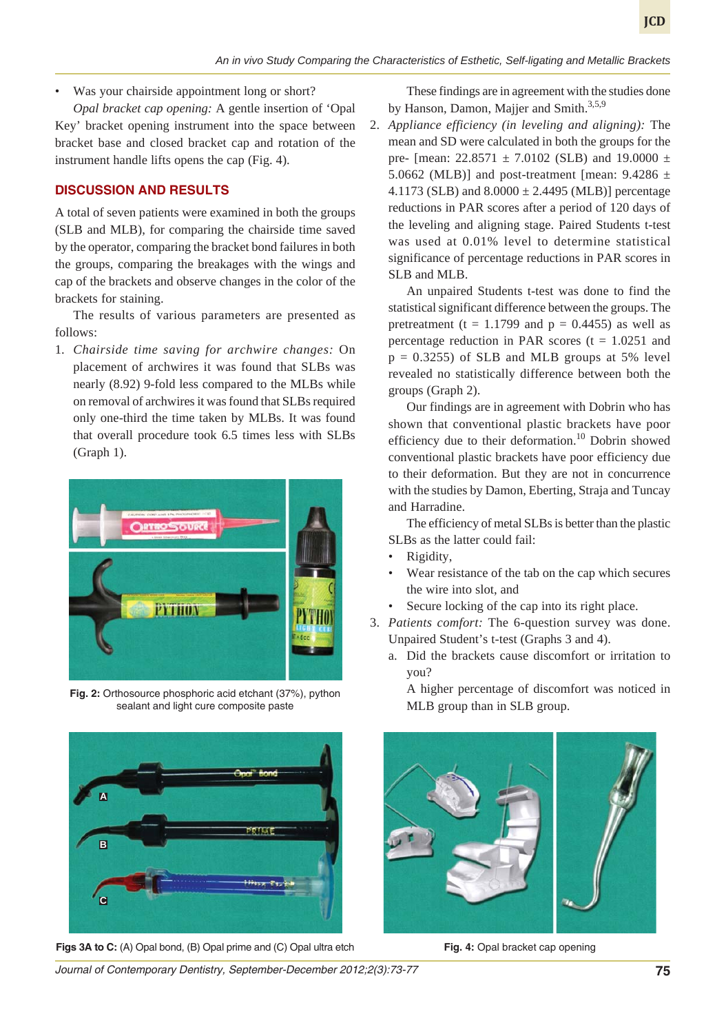• Was your chairside appointment long or short?

*Opal bracket cap opening:* A gentle insertion of 'Opal Key' bracket opening instrument into the space between bracket base and closed bracket cap and rotation of the instrument handle lifts opens the cap (Fig. 4).

## **DISCUSSION AND RESULTS**

A total of seven patients were examined in both the groups (SLB and MLB), for comparing the chairside time saved by the operator, comparing the bracket bond failures in both the groups, comparing the breakages with the wings and cap of the brackets and observe changes in the color of the brackets for staining.

The results of various parameters are presented as follows:

1. *Chairside time saving for archwire changes:* On placement of archwires it was found that SLBs was nearly (8.92) 9-fold less compared to the MLBs while on removal of archwires it was found that SLBs required only one-third the time taken by MLBs. It was found that overall procedure took 6.5 times less with SLBs (Graph 1).



**Fig. 2:** Orthosource phosphoric acid etchant (37%), python sealant and light cure composite paste



**Figs 3A to C:** (A) Opal bond, (B) Opal prime and (C) Opal ultra etch **Fig. 4:** Opal bracket cap opening

These findings are in agreement with the studies done by Hanson, Damon, Majjer and Smith.<sup>3,5,9</sup>

2. *Appliance efficiency (in leveling and aligning):* The mean and SD were calculated in both the groups for the pre- [mean:  $22.8571 \pm 7.0102$  (SLB) and 19.0000  $\pm$ 5.0662 (MLB)] and post-treatment [mean:  $9.4286 \pm$ 4.1173 (SLB) and  $8.0000 \pm 2.4495$  (MLB)] percentage reductions in PAR scores after a period of 120 days of the leveling and aligning stage. Paired Students t-test was used at 0.01% level to determine statistical significance of percentage reductions in PAR scores in SLB and MLB.

An unpaired Students t-test was done to find the statistical significant difference between the groups. The pretreatment ( $t = 1.1799$  and  $p = 0.4455$ ) as well as percentage reduction in PAR scores  $(t = 1.0251)$  and  $p = 0.3255$ ) of SLB and MLB groups at 5% level revealed no statistically difference between both the groups (Graph 2).

Our findings are in agreement with Dobrin who has shown that conventional plastic brackets have poor efficiency due to their deformation.<sup>10</sup> Dobrin showed conventional plastic brackets have poor efficiency due to their deformation. But they are not in concurrence with the studies by Damon, Eberting, Straja and Tuncay and Harradine.

The efficiency of metal SLBs is better than the plastic SLBs as the latter could fail:

- Rigidity,
- Wear resistance of the tab on the cap which secures the wire into slot, and
- Secure locking of the cap into its right place.
- 3. *Patients comfort:* The 6-question survey was done. Unpaired Student's t-test (Graphs 3 and 4).
	- a. Did the brackets cause discomfort or irritation to you?

A higher percentage of discomfort was noticed in MLB group than in SLB group.



*Journal of Contemporary Dentistry, September-December 2012;2(3):73-77* **75**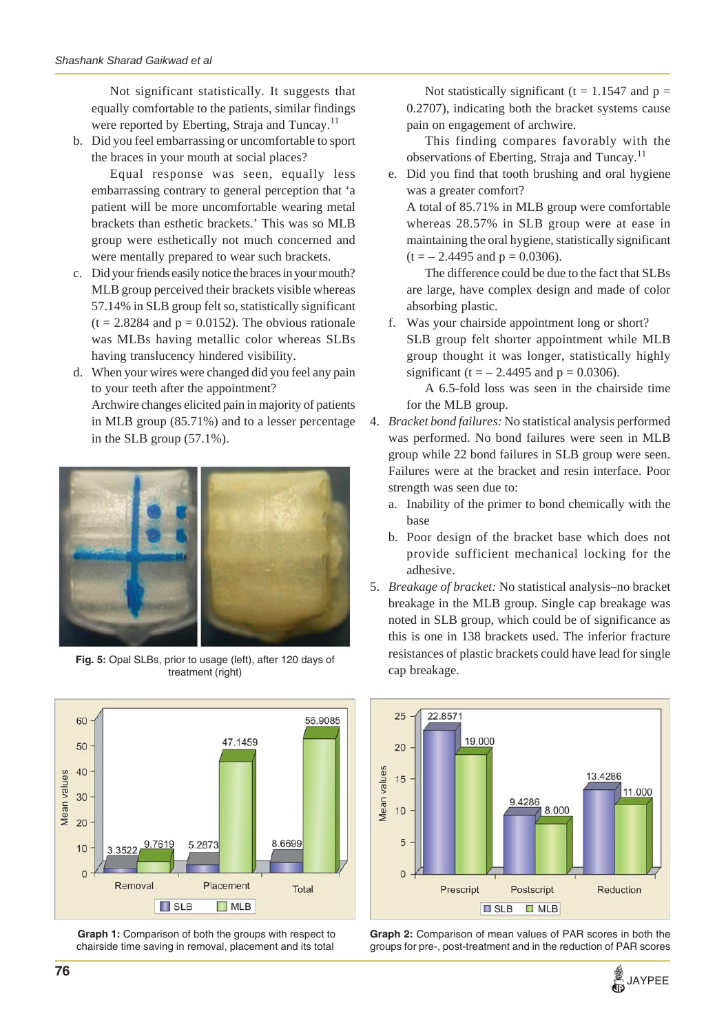Not significant statistically. It suggests that equally comfortable to the patients, similar findings were reported by Eberting, Straja and Tuncay.<sup>11</sup>

b. Did you feel embarrassing or uncomfortable to sport the braces in your mouth at social places?

Equal response was seen, equally less embarrassing contrary to general perception that 'a patient will be more uncomfortable wearing metal brackets than esthetic brackets.' This was so MLB group were esthetically not much concerned and were mentally prepared to wear such brackets.

- c. Did your friends easily notice the braces in your mouth? MLB group perceived their brackets visible whereas 57.14% in SLB group felt so, statistically significant  $(t = 2.8284$  and  $p = 0.0152$ ). The obvious rationale was MLBs having metallic color whereas SLBs having translucency hindered visibility.
- d. When your wires were changed did you feel any pain to your teeth after the appointment? Archwire changes elicited pain in majority of patients in MLB group (85.71%) and to a lesser percentage in the SLB group (57.1%).



**Fig. 5:** Opal SLBs, prior to usage (left), after 120 days of treatment (right)



**Graph 1:** Comparison of both the groups with respect to chairside time saving in removal, placement and its total

Not statistically significant (t = 1.1547 and  $p =$ 0.2707), indicating both the bracket systems cause pain on engagement of archwire.

This finding compares favorably with the observations of Eberting, Straja and Tuncay.<sup>11</sup>

e. Did you find that tooth brushing and oral hygiene was a greater comfort?

A total of 85.71% in MLB group were comfortable whereas 28.57% in SLB group were at ease in maintaining the oral hygiene, statistically significant  $(t = -2.4495$  and  $p = 0.0306$ ).

The difference could be due to the fact that SLBs are large, have complex design and made of color absorbing plastic.

f. Was your chairside appointment long or short? SLB group felt shorter appointment while MLB group thought it was longer, statistically highly significant (t =  $- 2.4495$  and p = 0.0306).

A 6.5-fold loss was seen in the chairside time for the MLB group.

- 4. *Bracket bond failures:* No statistical analysis performed was performed. No bond failures were seen in MLB group while 22 bond failures in SLB group were seen. Failures were at the bracket and resin interface. Poor strength was seen due to:
	- a. Inability of the primer to bond chemically with the base
	- b. Poor design of the bracket base which does not provide sufficient mechanical locking for the adhesive.
- 5. *Breakage of bracket:* No statistical analysis–no bracket breakage in the MLB group. Single cap breakage was noted in SLB group, which could be of significance as this is one in 138 brackets used. The inferior fracture resistances of plastic brackets could have lead for single cap breakage.